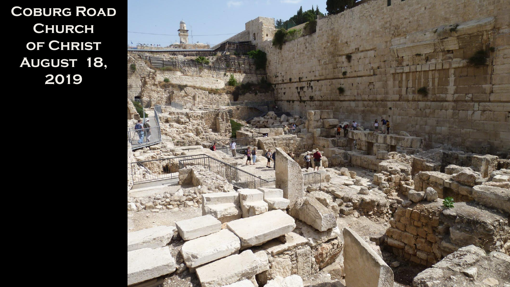**Coburg Road Church of Christ August 18, 2019**

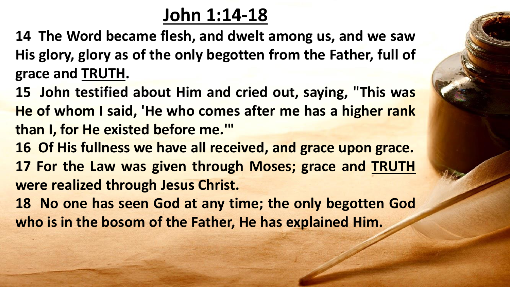## **John 1:14-18**

**14 The Word became flesh, and dwelt among us, and we saw His glory, glory as of the only begotten from the Father, full of grace and TRUTH.**

**15 John testified about Him and cried out, saying, "This was He of whom I said, 'He who comes after me has a higher rank than I, for He existed before me.'"**

**16 Of His fullness we have all received, and grace upon grace. 17 For the Law was given through Moses; grace and TRUTH were realized through Jesus Christ.**

**18 No one has seen God at any time; the only begotten God who is in the bosom of the Father, He has explained Him.**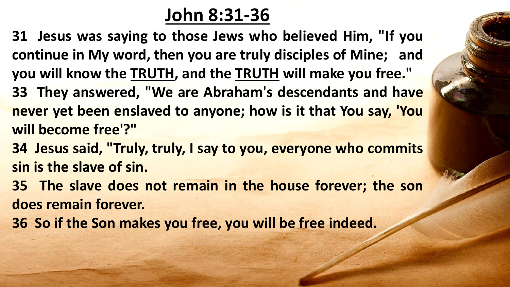## **John 8:31-36**

- **31 Jesus was saying to those Jews who believed Him, "If you continue in My word, then you are truly disciples of Mine; and you will know the TRUTH, and the TRUTH will make you free." 33 They answered, "We are Abraham's descendants and have never yet been enslaved to anyone; how is it that You say, 'You will become free'?"**
- **34 Jesus said, "Truly, truly, I say to you, everyone who commits sin is the slave of sin.**
- **35 The slave does not remain in the house forever; the son does remain forever.**
- **36 So if the Son makes you free, you will be free indeed.**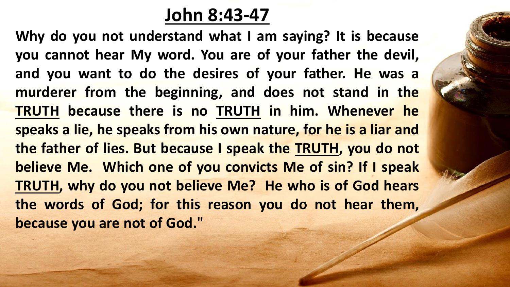### **John 8:43-47**

**Why do you not understand what I am saying? It is because you cannot hear My word. You are of your father the devil, and you want to do the desires of your father. He was a murderer from the beginning, and does not stand in the TRUTH because there is no TRUTH in him. Whenever he speaks a lie, he speaks from his own nature, for he is a liar and the father of lies. But because I speak the TRUTH, you do not believe Me. Which one of you convicts Me of sin? If I speak TRUTH, why do you not believe Me? He who is of God hears the words of God; for this reason you do not hear them, because you are not of God."**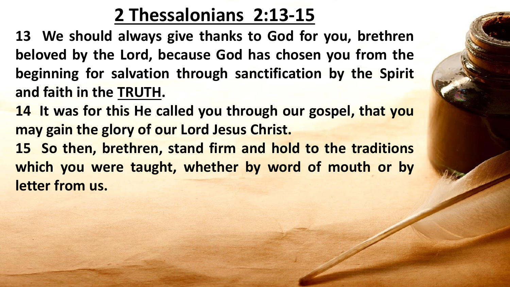# **2 Thessalonians 2:13-15**

**13 We should always give thanks to God for you, brethren beloved by the Lord, because God has chosen you from the beginning for salvation through sanctification by the Spirit and faith in the TRUTH.**

**14 It was for this He called you through our gospel, that you may gain the glory of our Lord Jesus Christ.**

**15 So then, brethren, stand firm and hold to the traditions which you were taught, whether by word of mouth or by letter from us.**